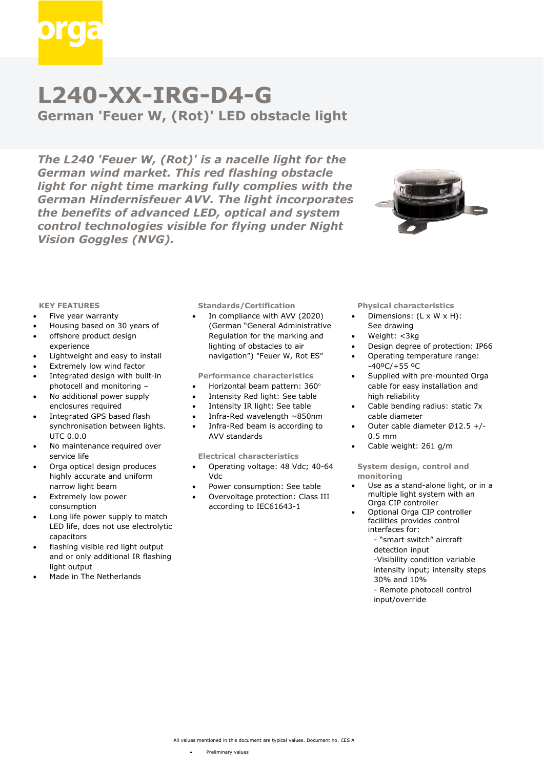

# **L240-XX-IRG-D4-G**

**German 'Feuer W, (Rot)' LED obstacle light**

*The L240 'Feuer W, (Rot)' is a nacelle light for the German wind market. This red flashing obstacle light for night time marking fully complies with the German Hindernisfeuer AVV. The light incorporates the benefits of advanced LED, optical and system control technologies visible for flying under Night Vision Goggles (NVG).*



#### **KEY FEATURES**

- Five year warranty
- Housing based on 30 years of
- offshore product design experience
- Lightweight and easy to install
- Extremely low wind factor
- Integrated design with built-in photocell and monitoring –
- No additional power supply enclosures required
- Integrated GPS based flash synchronisation between lights. UTC 0.0.0
- No maintenance required over service life
- Orga optical design produces highly accurate and uniform narrow light beam
- Extremely low power consumption
- Long life power supply to match LED life, does not use electrolytic capacitors
- flashing visible red light output and or only additional IR flashing light output
- Made in The Netherlands

# **Standards/Certification**

• In compliance with AVV (2020) (German "General Administrative Regulation for the marking and lighting of obstacles to air navigation") "Feuer W, Rot ES"

## **Performance characteristics**

- Horizontal beam pattern: 360
- Intensity Red light: See table
- Intensity IR light: See table
- Infra-Red wavelength ~850nm
- Infra-Red beam is according to AVV standards

#### **Electrical characteristics**

- Operating voltage: 48 Vdc; 40-64 Vdc
- Power consumption: See table
- Overvoltage protection: Class III according to IEC61643-1

# **Physical characteristics**

- Dimensions: (L x W x H): See drawing
- Weight: <3kg
- Design degree of protection: IP66
- Operating temperature range: -40ºC/+55 ºC
- Supplied with pre-mounted Orga cable for easy installation and high reliability
- Cable bending radius: static 7x cable diameter
- Outer cable diameter Ø12.5 +/- 0.5 mm
- Cable weight: 261 g/m

**System design, control and monitoring**

- Use as a stand-alone light, or in a multiple light system with an Orga CIP controller
- Optional Orga CIP controller facilities provides control interfaces for:
	- "smart switch" aircraft
	- detection input
	- -Visibility condition variable intensity input; intensity steps
	- 30% and 10%
	- Remote photocell control
	- input/override